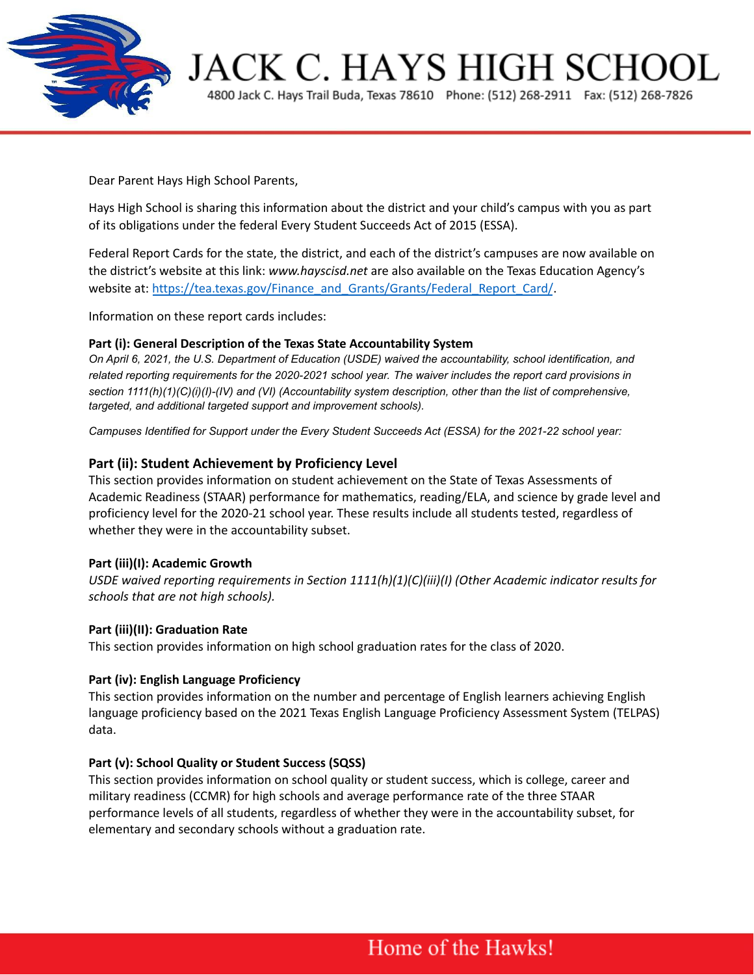

**JACK C. HAYS HIGH SCHOOL** 

4800 Jack C. Hays Trail Buda, Texas 78610 Phone: (512) 268-2911 Fax: (512) 268-7826

Dear Parent Hays High School Parents,

Hays High School is sharing this information about the district and your child's campus with you as part of its obligations under the federal Every Student Succeeds Act of 2015 (ESSA).

Federal Report Cards for the state, the district, and each of the district's campuses are now available on the district's website at this link: *www.hayscisd.net* are also available on the Texas Education Agency's website at: [https://tea.texas.gov/Finance\\_and\\_Grants/Grants/Federal\\_Report\\_Card/](https://tea.texas.gov/Finance_and_Grants/Grants/Federal_Report_Card/).

Information on these report cards includes:

#### **Part (i): General Description of the Texas State Accountability System**

*On April 6, 2021, the U.S. Department of Education (USDE) waived the accountability, school identification, and related reporting requirements for the 2020-2021 school year. The waiver includes the report card provisions in section 1111(h)(1)(C)(i)(I)-(IV) and (VI) (Accountability system description, other than the list of comprehensive, targeted, and additional targeted support and improvement schools).*

*Campuses Identified for Support under the Every Student Succeeds Act (ESSA) for the 2021-22 school year:*

#### **Part (ii): Student Achievement by Proficiency Level**

This section provides information on student achievement on the State of Texas Assessments of Academic Readiness (STAAR) performance for mathematics, reading/ELA, and science by grade level and proficiency level for the 2020-21 school year. These results include all students tested, regardless of whether they were in the accountability subset.

#### **Part (iii)(I): Academic Growth**

*USDE waived reporting requirements in Section 1111(h)(1)(C)(iii)(I) (Other Academic indicator results for schools that are not high schools).*

#### **Part (iii)(II): Graduation Rate**

This section provides information on high school graduation rates for the class of 2020.

#### **Part (iv): English Language Proficiency**

This section provides information on the number and percentage of English learners achieving English language proficiency based on the 2021 Texas English Language Proficiency Assessment System (TELPAS) data.

#### **Part (v): School Quality or Student Success (SQSS)**

This section provides information on school quality or student success, which is college, career and military readiness (CCMR) for high schools and average performance rate of the three STAAR performance levels of all students, regardless of whether they were in the accountability subset, for elementary and secondary schools without a graduation rate.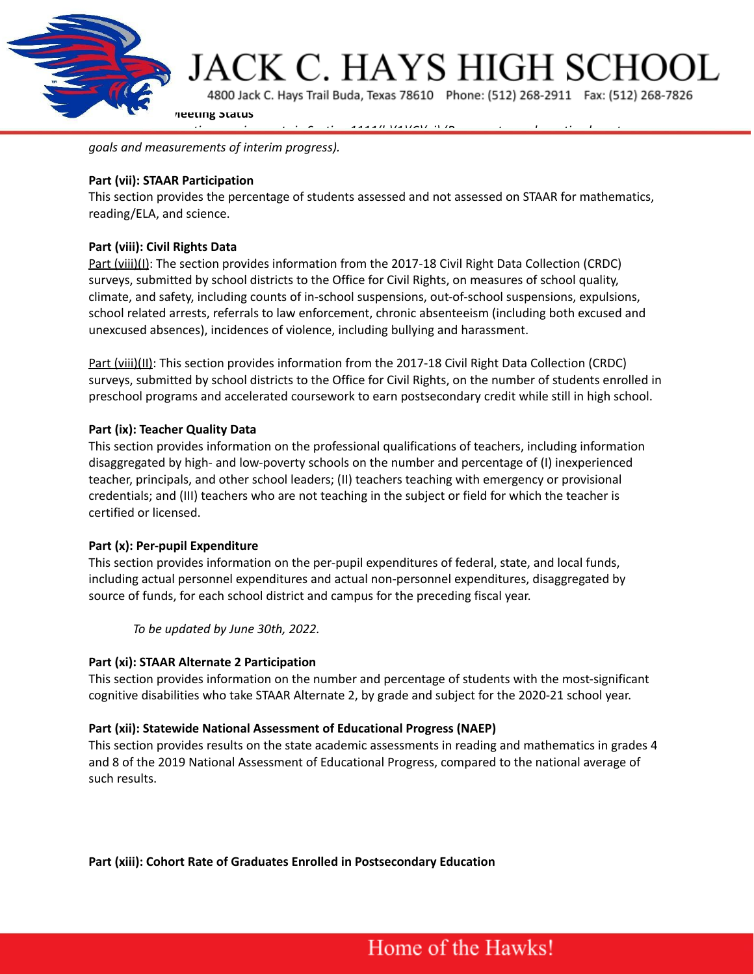

*goals and measurements of interim progress).*

## **Part (vii): STAAR Participation**

This section provides the percentage of students assessed and not assessed on STAAR for mathematics, reading/ELA, and science.

# **Part (viii): Civil Rights Data**

Part (viii)(I): The section provides information from the 2017-18 Civil Right Data Collection (CRDC) surveys, submitted by school districts to the Office for Civil Rights, on measures of school quality, climate, and safety, including counts of in-school suspensions, out-of-school suspensions, expulsions, school related arrests, referrals to law enforcement, chronic absenteeism (including both excused and unexcused absences), incidences of violence, including bullying and harassment.

Part (viii)(II): This section provides information from the 2017-18 Civil Right Data Collection (CRDC) surveys, submitted by school districts to the Office for Civil Rights, on the number of students enrolled in preschool programs and accelerated coursework to earn postsecondary credit while still in high school.

# **Part (ix): Teacher Quality Data**

This section provides information on the professional qualifications of teachers, including information disaggregated by high- and low-poverty schools on the number and percentage of (I) inexperienced teacher, principals, and other school leaders; (II) teachers teaching with emergency or provisional credentials; and (III) teachers who are not teaching in the subject or field for which the teacher is certified or licensed.

#### **Part (x): Per-pupil Expenditure**

This section provides information on the per-pupil expenditures of federal, state, and local funds, including actual personnel expenditures and actual non-personnel expenditures, disaggregated by source of funds, for each school district and campus for the preceding fiscal year.

*To be updated by June 30th, 2022.*

#### **Part (xi): STAAR Alternate 2 Participation**

This section provides information on the number and percentage of students with the most-significant cognitive disabilities who take STAAR Alternate 2, by grade and subject for the 2020-21 school year.

#### **Part (xii): Statewide National Assessment of Educational Progress (NAEP)**

This section provides results on the state academic assessments in reading and mathematics in grades 4 and 8 of the 2019 National Assessment of Educational Progress, compared to the national average of such results.

**Part (xiii): Cohort Rate of Graduates Enrolled in Postsecondary Education**